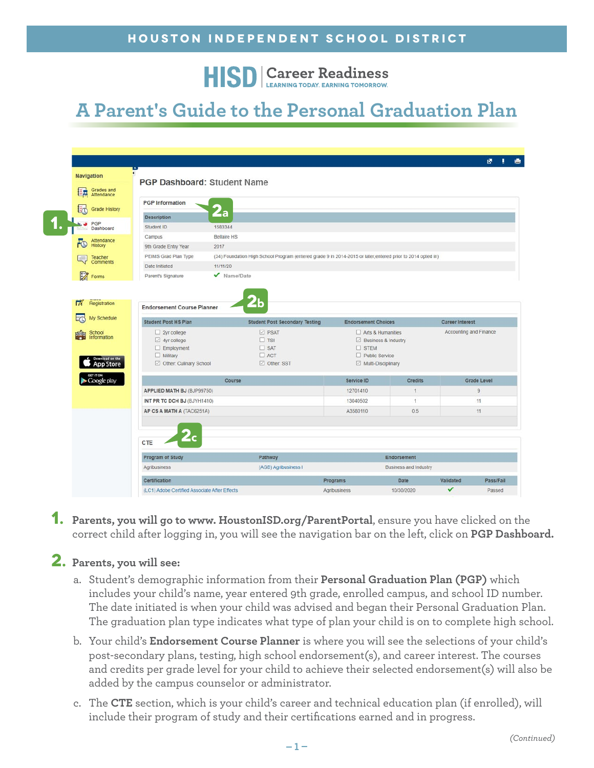**HISD** Career Readiness

## **A Parent's Guide to the Personal Graduation Plan**

| Navigation                         |                                                               |                                |                                                                                                            |                                         |                       |                        |                    |
|------------------------------------|---------------------------------------------------------------|--------------------------------|------------------------------------------------------------------------------------------------------------|-----------------------------------------|-----------------------|------------------------|--------------------|
| Grades and<br>Attendance           | <b>PGP Dashboard: Student Name</b>                            |                                |                                                                                                            |                                         |                       |                        |                    |
|                                    | <b>PGP</b> Information                                        |                                |                                                                                                            |                                         |                       |                        |                    |
|                                    | <b>Grade History</b><br><b>Description</b>                    | $\mathbf{2}\mathbf{a}$         |                                                                                                            |                                         |                       |                        |                    |
| PGP<br>Dashboard                   | Student ID                                                    | 1583344                        |                                                                                                            |                                         |                       |                        |                    |
|                                    | Campus                                                        | <b>Bellaire HS</b>             |                                                                                                            |                                         |                       |                        |                    |
| Attendance<br>FO<br><b>History</b> | 9th Grade Entry Year                                          | 2017                           |                                                                                                            |                                         |                       |                        |                    |
| Teacher                            | PEIMS Grad Plan Type                                          |                                | (34) Foundation High School Program (entered grade 9 in 2014-2015 or later;entered prior to 2014 opted in) |                                         |                       |                        |                    |
| <b>Comments</b>                    | Date Initiated                                                | 11/11/20                       |                                                                                                            |                                         |                       |                        |                    |
| $\mathbb{Z}$<br>Forms              | Parent's Signature                                            | $\sqrt{\phantom{a}}$ Name/Date |                                                                                                            |                                         |                       |                        |                    |
| Information                        | $\boxdot$ 4yr college                                         |                                | $\Box$ TSI                                                                                                 | $\boxtimes$ Business & Industry         |                       |                        |                    |
| My Schedule                        | <b>Student Post HS Plan</b>                                   |                                | <b>Student Post Secondary Testing</b>                                                                      | <b>Endorsement Choices</b>              |                       | <b>Career Interest</b> |                    |
| School<br>鹽                        | $\Box$ 2yr college                                            |                                | $\boxdot$ PSAT                                                                                             | $\Box$ Arts & Humanities                |                       | Accounting and Finance |                    |
|                                    |                                                               |                                |                                                                                                            |                                         |                       |                        |                    |
|                                    |                                                               |                                |                                                                                                            |                                         |                       |                        |                    |
|                                    | $\Box$ Employment<br>$\Box$ Military                          |                                | $\Box$ SAT<br>$\Box$ ACT                                                                                   | $\square$ STEM<br>$\Box$ Public Service |                       |                        |                    |
|                                    | Download on the<br><b>App Store</b><br>Other: Culinary School |                                | Other: SST                                                                                                 | Multi-Disciplinary                      |                       |                        |                    |
| GET IT ON<br>Google play           |                                                               | Course                         |                                                                                                            | Service ID                              | <b>Credits</b>        |                        | <b>Grade Level</b> |
|                                    | APPLIED MATH BJ (BJP99750)                                    |                                |                                                                                                            | 12701410                                | $\mathbf{1}$          |                        | $\overline{9}$     |
|                                    | INT PR TC DCH BJ (BJYH1410)                                   |                                |                                                                                                            | 13040502                                | 1                     |                        | 11                 |
|                                    | AP CS A MATH A (TAC6251A)                                     |                                |                                                                                                            | A3580110                                | 0.5                   |                        | 11                 |
|                                    |                                                               |                                |                                                                                                            |                                         |                       |                        |                    |
|                                    | CTE                                                           | $\mathbf{z}_\mathbf{C}$        |                                                                                                            |                                         |                       |                        |                    |
|                                    | Program of Study                                              |                                | Pathway                                                                                                    |                                         | Endorsement           |                        |                    |
|                                    | Agribusiness                                                  |                                | (AGB) Agribusiness I                                                                                       |                                         | Business and Industry |                        |                    |
|                                    | Certification                                                 |                                |                                                                                                            | Programs                                | Date                  | Validated              | Pass/Fail          |

**1. Parents, you will go to www. HoustonISD.org/ParentPortal**, ensure you have clicked on the correct child after logging in, you will see the navigation bar on the left, click on **PGP Dashboard.**

## **2. Parents, you will see:**

- a. Student's demographic information from their **Personal Graduation Plan (PGP)** which includes your child's name, year entered 9th grade, enrolled campus, and school ID number. The date initiated is when your child was advised and began their Personal Graduation Plan. The graduation plan type indicates what type of plan your child is on to complete high school.
- b. Your child's **Endorsement Course Planner** is where you will see the selections of your child's post-secondary plans, testing, high school endorsement(s), and career interest. The courses and credits per grade level for your child to achieve their selected endorsement(s) will also be added by the campus counselor or administrator.
- c. The **CTE** section, which is your child's career and technical education plan (if enrolled), will include their program of study and their certifications earned and in progress.